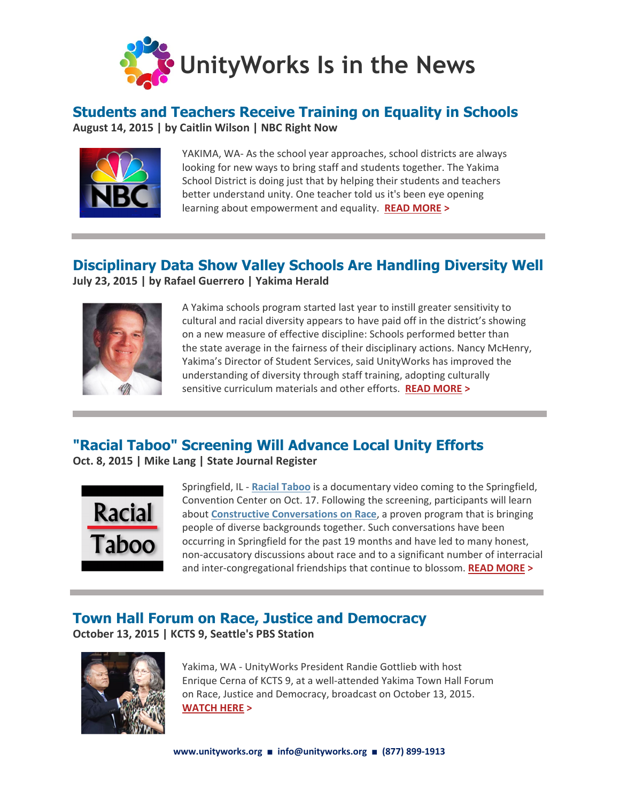

## **Students and Teachers Receive Training on Equality in Schools**

**August 14, 2015 | by Caitlin Wilson | NBC Right Now**



YAKIMA, WA- As the school year approaches, school districts are always looking for new ways to bring staff and students together. The Yakima School District is doing just that by helping their students and teachers better understand unity. One teacher told us it's been eye opening learning about empowerment and equality. **[READ MORE >](http://www.nbcrightnow.com/story/29791229/students-and-teachers-receive-training-on-equality-in-schools)**

# **Disciplinary Data Show Valley Schools Are Handling Diversity Well**

**July 23, 2015 | by Rafael Guerrero | Yakima Herald**



A Yakima schools program started last year to instill greater sensitivity to cultural and racial diversity appears to have paid off in the district's showing on a new measure of effective discipline: Schools performed better than the state average in the fairness of their disciplinary actions. Nancy McHenry, Yakima's Director of Student Services, said UnityWorks has improved the understanding of diversity through staff training, adopting culturally sensitive curriculum materials and other efforts. **[READ MORE >](http://www.yakimaherald.com/news/local/disciplinary-data-show-valley-schools-are-handling-diversity-well/article_b24d89a0-31bd-11e5-80d1-bf2fc0a29219.html)**

## **"Racial Taboo" Screening Will Advance Local Unity Efforts**

**Oct. 8, 2015 | Mike Lang | State Journal Register**



Springfield, IL - **[Racial Taboo](http://racialtaboo.com/)** is a documentary video coming to the Springfield, Convention Center on Oct. 17. Following the screening, participants will learn about **[Constructive Conversations on Race](https://www.unityworks.org/talk-about-race.html)**, a proven program that is bringing people of diverse backgrounds together. Such conversations have been occurring in Springfield for the past 19 months and have led to many honest, non-accusatory discussions about race and to a significant number of interracial and inter-congregational friendships that continue to blossom. **[READ MORE >](http://www.sj-r.com/article/20151008/OPINION/151009573#loadComment)**

## **Town Hall Forum on Race, Justice and Democracy**

**October 13, 2015 | KCTS 9, Seattle's PBS Station**



Yakima, WA - UnityWorks President Randie Gottlieb with host Enrique Cerna of KCTS 9, at a well-attended Yakima Town Hall Forum on Race, Justice and Democracy, broadcast on October 13, 2015. **[WATCH HERE](https://www.youtube.com/watch?v=paaro2gZSBI&feature=youtu.be&t=44m2s) >**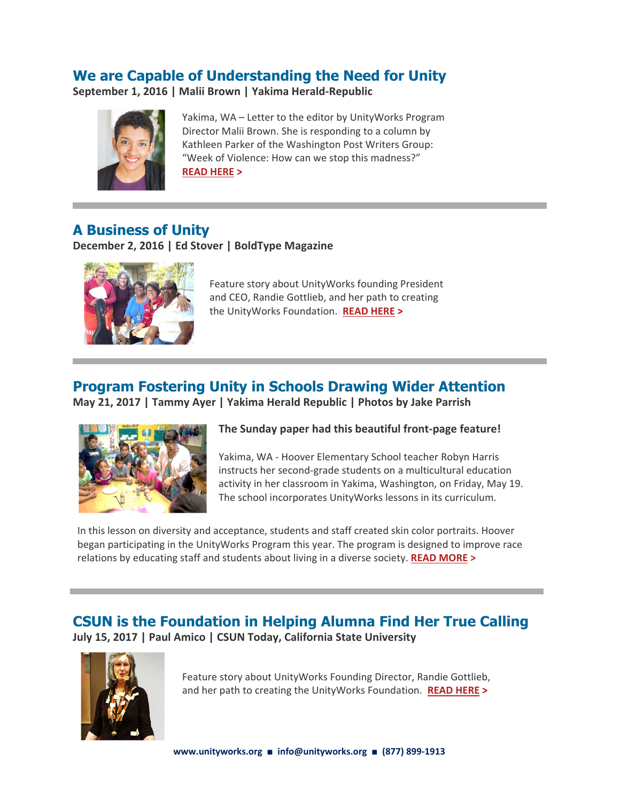## **We are Capable of Understanding the Need for Unity**

**September 1, 2016 | Malii Brown | Yakima Herald-Republic**



Yakima, WA – Letter to the editor by UnityWorks Program Director Malii Brown. She is responding to a column by Kathleen Parker of the Washington Post Writers Group: "Week of Violence: How can we stop this madness?" **[READ HERE](http://www.yakimaherald.com/opinion/letters_to_editor/we-are-capable-of-understanding-need-for-unity/article_318424d8-7068-11e6-9957-b3aa89107c5e.html#utm_source=yakimaherald.com&utm_campaign=%2Fnewsletters%2Fmorningreport%2F&utm_medium=email&utm_content=headline) >** 

## **A Business of Unity**

**December 2, 2016 | Ed Stover | BoldType Magazine**



Feature story about UnityWorks founding President and CEO, Randie Gottlieb, and her path to creating the UnityWorks Foundation. **[READ HERE](http://www.yakimaherald.com/boldtype/a-business-of-unity/article_7117159a-b697-11e6-8972-ef08846a007c.html) >**

## **Program Fostering Unity in Schools Drawing Wider Attention**

**May 21, 2017 | Tammy Ayer | Yakima Herald Republic | Photos by Jake Parrish**



#### **The Sunday paper had this beautiful front-page feature!**

Yakima, WA - Hoover Elementary School teacher Robyn Harris instructs her second-grade students on a multicultural education activity in her classroom in Yakima, Washington, on Friday, May 19. The school incorporates UnityWorks lessons in its curriculum.

In this lesson on diversity and acceptance, students and staff created skin color portraits. Hoover began participating in the UnityWorks Program this year. The program is designed to improve race relations by educating staff and students about living in a diverse society. **[READ MORE >](http://www.yakimaherald.com/news/education/program-fostering-unity-in-yakima-schools-drawing-wider-attention/article_60e53bb6-3de7-11e7-8c4c-9f7ed04c7c07.html)**

#### **CSUN is the Foundation in Helping Alumna Find Her True Calling July 15, 2017 | Paul Amico | CSUN Today, California State University**



Feature story about UnityWorks Founding Director, Randie Gottlieb, and her path to creating the UnityWorks Foundation. **[READ HERE](https://csunshinetoday.csun.edu/university-news/csun-is-the-foundation-in-helping-alumna-find-her-true-calling) >**